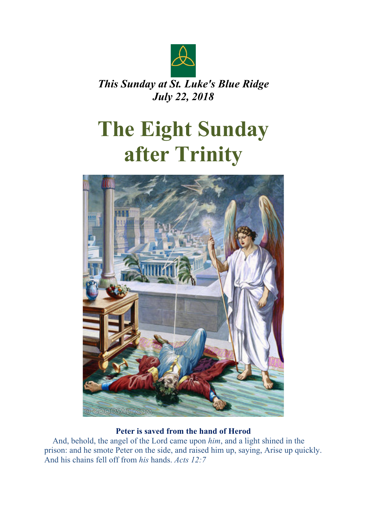

# **The Eight Sunday after Trinity**



#### **Peter is saved from the hand of Herod**

 And, behold, the angel of the Lord came upon *him*, and a light shined in the prison: and he smote Peter on the side, and raised him up, saying, Arise up quickly. And his chains fell off from *his* hands. *Acts 12:7*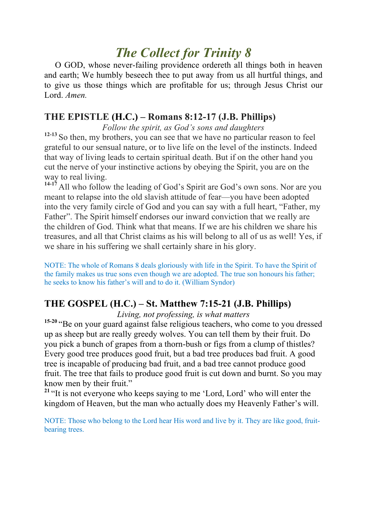### *The Collect for Trinity 8*

 O GOD, whose never-failing providence ordereth all things both in heaven and earth; We humbly beseech thee to put away from us all hurtful things, and to give us those things which are profitable for us; through Jesus Christ our Lord. *Amen.*

#### **THE EPISTLE (H.C.) – Romans 8:12-17 (J.B. Phillips)**

*Follow the spirit, as God's sons and daughters*

**12-13** So then, my brothers, you can see that we have no particular reason to feel grateful to our sensual nature, or to live life on the level of the instincts. Indeed that way of living leads to certain spiritual death. But if on the other hand you cut the nerve of your instinctive actions by obeying the Spirit, you are on the way to real living.

<sup>14-17</sup> All who follow the leading of God's Spirit are God's own sons. Nor are you meant to relapse into the old slavish attitude of fear—you have been adopted into the very family circle of God and you can say with a full heart, "Father, my Father". The Spirit himself endorses our inward conviction that we really are the children of God. Think what that means. If we are his children we share his treasures, and all that Christ claims as his will belong to all of us as well! Yes, if we share in his suffering we shall certainly share in his glory.

NOTE: The whole of Romans 8 deals gloriously with life in the Spirit. To have the Spirit of the family makes us true sons even though we are adopted. The true son honours his father; he seeks to know his father's will and to do it. (William Syndor)

### **THE GOSPEL (H.C.) – St. Matthew 7:15-21 (J.B. Phillips)**

*Living, not professing, is what matters*

**15-20** "Be on your guard against false religious teachers, who come to you dressed up as sheep but are really greedy wolves. You can tell them by their fruit. Do you pick a bunch of grapes from a thorn-bush or figs from a clump of thistles? Every good tree produces good fruit, but a bad tree produces bad fruit. A good tree is incapable of producing bad fruit, and a bad tree cannot produce good fruit. The tree that fails to produce good fruit is cut down and burnt. So you may know men by their fruit."

**<sup>21</sup>** "It is not everyone who keeps saying to me 'Lord, Lord' who will enter the kingdom of Heaven, but the man who actually does my Heavenly Father's will.

NOTE: Those who belong to the Lord hear His word and live by it. They are like good, fruitbearing trees.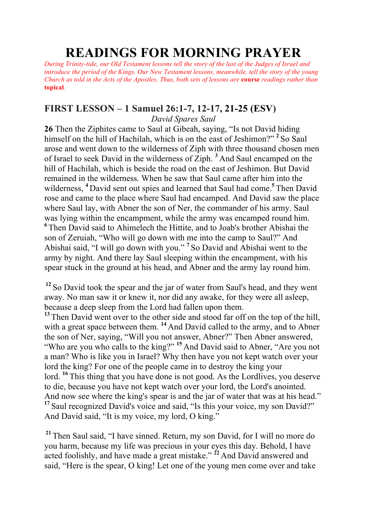### **READINGS FOR MORNING PRAYER**

*During Trinity-tide, our Old Testament lessons tell the story of the last of the Judges of Israel and introduce the period of the Kings. Our New Testament lessons, meanwhile, tell the story of the young Church as told in the Acts of the Apostles. Thus, both sets of lessons are* **course** *readings rather than*  **topical***.* 

#### **FIRST LESSON – 1 Samuel 26:1-7, 12-17, 21-25 (ESV)**

*David Spares Saul* 

**26** Then the Ziphites came to Saul at Gibeah, saying, "Is not David hiding himself on the hill of Hachilah, which is on the east of Jeshimon?" <sup>2</sup> So Saul arose and went down to the wilderness of Ziph with three thousand chosen men of Israel to seek David in the wilderness of Ziph. **<sup>3</sup>** And Saul encamped on the hill of Hachilah, which is beside the road on the east of Jeshimon. But David remained in the wilderness. When he saw that Saul came after him into the wilderness, <sup>4</sup> David sent out spies and learned that Saul had come.<sup>5</sup> Then David rose and came to the place where Saul had encamped. And David saw the place where Saul lay, with Abner the son of Ner, the commander of his army. Saul was lying within the encampment, while the army was encamped round him. **<sup>6</sup>** Then David said to Ahimelech the Hittite, and to Joab's brother Abishai the son of Zeruiah, "Who will go down with me into the camp to Saul?" And Abishai said, "I will go down with you." **<sup>7</sup>** So David and Abishai went to the army by night. And there lay Saul sleeping within the encampment, with his spear stuck in the ground at his head, and Abner and the army lay round him.

**<sup>12</sup>** So David took the spear and the jar of water from Saul's head, and they went away. No man saw it or knew it, nor did any awake, for they were all asleep, because a deep sleep from the Lord had fallen upon them.

<sup>13</sup> Then David went over to the other side and stood far off on the top of the hill, with a great space between them.<sup>14</sup> And David called to the army, and to Abner the son of Ner, saying, "Will you not answer, Abner?" Then Abner answered, "Who are you who calls to the king?" **<sup>15</sup>** And David said to Abner, "Are you not a man? Who is like you in Israel? Why then have you not kept watch over your lord the king? For one of the people came in to destroy the king your lord. <sup>16</sup> This thing that you have done is not good. As the Lordlives, you deserve to die, because you have not kept watch over your lord, the Lord's anointed. And now see where the king's spear is and the jar of water that was at his head." <sup>17</sup> Saul recognized David's voice and said, "Is this your voice, my son David?" And David said, "It is my voice, my lord, O king."

**<sup>21</sup>** Then Saul said, "I have sinned. Return, my son David, for I will no more do you harm, because my life was precious in your eyes this day. Behold, I have acted foolishly, and have made a great mistake." **<sup>22</sup>** And David answered and said, "Here is the spear, O king! Let one of the young men come over and take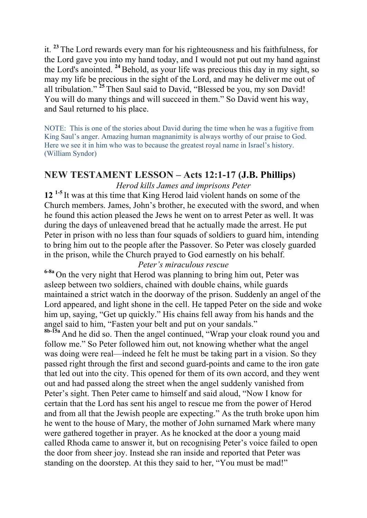it. **<sup>23</sup>** The Lord rewards every man for his righteousness and his faithfulness, for the Lord gave you into my hand today, and I would not put out my hand against the Lord's anointed. **<sup>24</sup>**Behold, as your life was precious this day in my sight, so may my life be precious in the sight of the Lord, and may he deliver me out of all tribulation." **<sup>25</sup>** Then Saul said to David, "Blessed be you, my son David! You will do many things and will succeed in them." So David went his way, and Saul returned to his place.

NOTE: This is one of the stories about David during the time when he was a fugitive from King Saul's anger. Amazing human magnanimity is always worthy of our praise to God. Here we see it in him who was to because the greatest royal name in Israel's history. (William Syndor)

### **NEW TESTAMENT LESSON – Acts 12:1-17 (J.B. Phillips)**

*Herod kills James and imprisons Peter*

**12 1-5** It was at this time that King Herod laid violent hands on some of the Church members. James, John's brother, he executed with the sword, and when he found this action pleased the Jews he went on to arrest Peter as well. It was during the days of unleavened bread that he actually made the arrest. He put Peter in prison with no less than four squads of soldiers to guard him, intending to bring him out to the people after the Passover. So Peter was closely guarded in the prison, while the Church prayed to God earnestly on his behalf.

#### *Peter's miraculous rescue*

**6-8a** On the very night that Herod was planning to bring him out, Peter was asleep between two soldiers, chained with double chains, while guards maintained a strict watch in the doorway of the prison. Suddenly an angel of the Lord appeared, and light shone in the cell. He tapped Peter on the side and woke him up, saying, "Get up quickly." His chains fell away from his hands and the angel said to him, "Fasten your belt and put on your sandals."

**8b-15a** And he did so. Then the angel continued, "Wrap your cloak round you and follow me." So Peter followed him out, not knowing whether what the angel was doing were real—indeed he felt he must be taking part in a vision. So they passed right through the first and second guard-points and came to the iron gate that led out into the city. This opened for them of its own accord, and they went out and had passed along the street when the angel suddenly vanished from Peter's sight. Then Peter came to himself and said aloud, "Now I know for certain that the Lord has sent his angel to rescue me from the power of Herod and from all that the Jewish people are expecting." As the truth broke upon him he went to the house of Mary, the mother of John surnamed Mark where many were gathered together in prayer. As he knocked at the door a young maid called Rhoda came to answer it, but on recognising Peter's voice failed to open the door from sheer joy. Instead she ran inside and reported that Peter was standing on the doorstep. At this they said to her, "You must be mad!"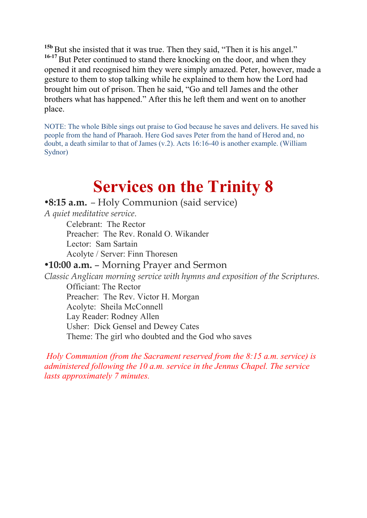<sup>15b</sup> But she insisted that it was true. Then they said, "Then it is his angel." <sup>16-17</sup> But Peter continued to stand there knocking on the door, and when they opened it and recognised him they were simply amazed. Peter, however, made a gesture to them to stop talking while he explained to them how the Lord had brought him out of prison. Then he said, "Go and tell James and the other brothers what has happened." After this he left them and went on to another place.

NOTE: The whole Bible sings out praise to God because he saves and delivers. He saved his people from the hand of Pharaoh. Here God saves Peter from the hand of Herod and, no doubt, a death similar to that of James (v.2). Acts 16:16-40 is another example. (William Sydnor)

# **Services on the Trinity 8**

•**8:15 a.m.** *–* Holy Communion (said service)

*A quiet meditative service*. Celebrant: The Rector Preacher: The Rev. Ronald O. Wikander Lector: Sam Sartain Acolyte / Server: Finn Thoresen

#### •**10:00 a.m.** – Morning Prayer and Sermon

*Classic Anglican morning service with hymns and exposition of the Scriptures.* Officiant: The Rector Preacher: The Rev. Victor H. Morgan Acolyte: Sheila McConnell Lay Reader: Rodney Allen Usher: Dick Gensel and Dewey Cates Theme: The girl who doubted and the God who saves

*Holy Communion (from the Sacrament reserved from the 8:15 a.m. service) is administered following the 10 a.m. service in the Jennus Chapel. The service lasts approximately 7 minutes.*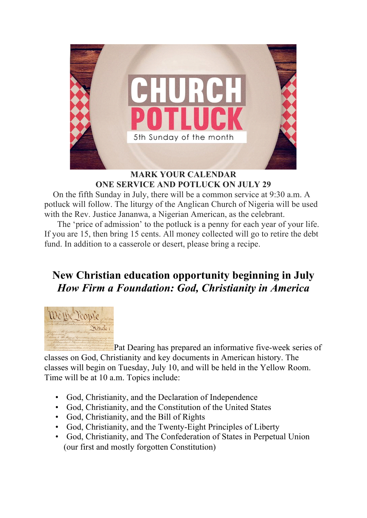

#### **MARK YOUR CALENDAR ONE SERVICE AND POTLUCK ON JULY 29**

 On the fifth Sunday in July, there will be a common service at 9:30 a.m. A potluck will follow. The liturgy of the Anglican Church of Nigeria will be used with the Rev. Justice Jananwa, a Nigerian American, as the celebrant.

 The 'price of admission' to the potluck is a penny for each year of your life. If you are 15, then bring 15 cents. All money collected will go to retire the debt fund. In addition to a casserole or desert, please bring a recipe.

### **New Christian education opportunity beginning in July** *How Firm a Foundation: God, Christianity in America*



Pat Dearing has prepared an informative five-week series of classes on God, Christianity and key documents in American history. The classes will begin on Tuesday, July 10, and will be held in the Yellow Room. Time will be at 10 a.m. Topics include:

- God, Christianity, and the Declaration of Independence
- God, Christianity, and the Constitution of the United States
- God, Christianity, and the Bill of Rights
- God, Christianity, and the Twenty-Eight Principles of Liberty
- God, Christianity, and The Confederation of States in Perpetual Union (our first and mostly forgotten Constitution)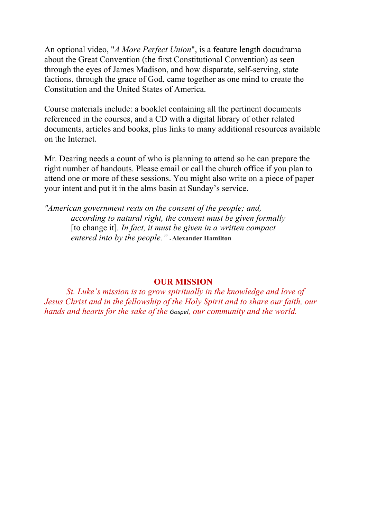An optional video, "*A More Perfect Union*", is a feature length docudrama about the Great Convention (the first Constitutional Convention) as seen through the eyes of James Madison, and how disparate, self-serving, state factions, through the grace of God, came together as one mind to create the Constitution and the United States of America.

Course materials include: a booklet containing all the pertinent documents referenced in the courses, and a CD with a digital library of other related documents, articles and books, plus links to many additional resources available on the Internet.

Mr. Dearing needs a count of who is planning to attend so he can prepare the right number of handouts. Please email or call the church office if you plan to attend one or more of these sessions. You might also write on a piece of paper your intent and put it in the alms basin at Sunday's service.

*"American government rests on the consent of the people; and, according to natural right, the consent must be given formally* [to change it]*. In fact, it must be given in a written compact entered into by the people."* **- Alexander Hamilton**

#### **OUR MISSION**

*St. Luke's mission is to grow spiritually in the knowledge and love of Jesus Christ and in the fellowship of the Holy Spirit and to share our faith, our hands and hearts for the sake of the Gospel, our community and the world.*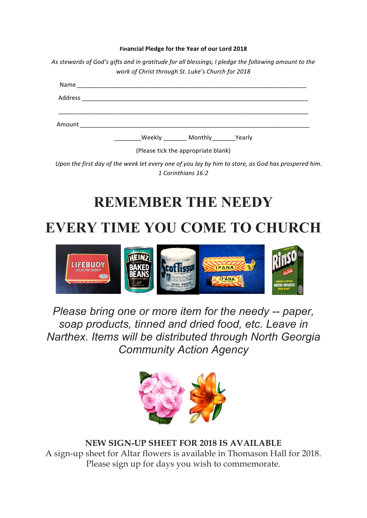**Financial Pledge for the Year of our Lord 2018**

As stewards of God's gifts and in gratitude for all blessings, I pledge the following amount to the *work of Christ through St. Luke's Church for 2018*

| Name    |        |         |        |  |
|---------|--------|---------|--------|--|
| Address |        |         |        |  |
|         |        |         |        |  |
| Amount  |        |         |        |  |
|         | Weekly | Monthly | Yearly |  |

(Please tick the appropriate blank)

Upon the first day of the week let every one of you lay by him to store, as God has prospered him. *1 Corinthians 16:2*

## **REMEMBER THE NEEDY**

# **EVERY TIME YOU COME TO CHURCH**



*Please bring one or more item for the needy -- paper, soap products, tinned and dried food, etc. Leave in Narthex. Items will be distributed through North Georgia Community Action Agency*



**NEW SIGN-UP SHEET FOR 2018 IS AVAILABLE** A sign-up sheet for Altar flowers is available in Thomason Hall for 2018. Please sign up for days you wish to commemorate.